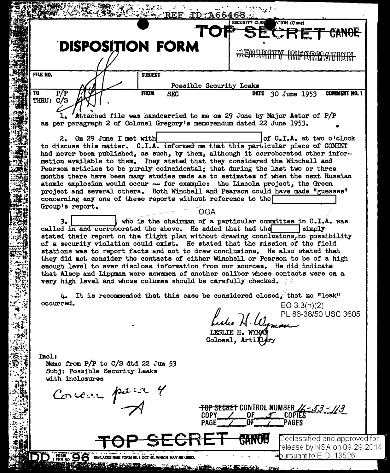TION (If ann) **DISPOSITION FORM** FILE NO. **SUBJECT** Possible Security Leaks<br>NRT: DATE TO  $\overline{P/P}$ FROM SEC DATE 30 June 1953 COMMENT NO. 1 THRU: C/S Attached file was handcarried to me on 29 June by Major Astor of  $P/P$ as per paragraph 2 of Colonel Gregory's memorandum dated 22 June 1953. 2. On 29 June I met with  $\int$  of C.I.A. at two o'clock to discuss this matter. C.I.A. informed me that this particular piece of COMINT had never been published, as such, by them, although it corroborated other information available to them. They stated that they considered the Winchell and Pearson articles to be purely coincidental; that during the last two or three months there have been many studies made as to estimates of when the next Russian atomic explosion would occur  $-$  for example: the Lincoln project, the Green project and several others. Both Winchell and Pearson could have made "guesses" concerning any one of these reports without reference to the Group's report. CGA 3.  $\Box$  who is the chairman of a particular committee in C.I.A. was<br>d in and corroborated the above. He added that had the  $\Box$  simply called in and corroborated the above. He added that had the stated their report on the flight plan without drawing conclusions.no possibility of a security violation could exist. He stated that the mission of the field stations was to report facts and not to draw conclusions. He also stated that they did mot consider the contacts of either Winchell or Pearson to be of a high enough level to ever disclose information from our sources. He did/indicate that Alsop and Lippman were newsmen of another caliber whose contacts were on a very high level and whose columns should be carefully checked. 4. It is recommended that this case be considered closed, that no "leak" occurred. EO 3.3(h)(2) hiele H. Uyman PL 86-36/50 USC 3605 LESLIE H. WYMAN Colonel, Artillery Incl: Memo from  $P/P$  to  $C/S$  dtd 22 Jun 53 Subj: Possible Security Leaks with inclosures Concur paix 4  $\overrightarrow{A}$ TOP SECRET CONTROL NUMBER <u>16 - 53 - 1</u>13 COPY t OF £ COPitr"'""'""-......l'-' <sup>5</sup> -. PAGES Declassified and approved for **b** ~~~~~~~~~·~~~~~~~~~~~~~~~~~elease byNSA on 09-29-2014 ~1Ws~·g-a--~NME.mRM9&:1CX:r4B.wH1cHMAvBEu5ED. · ·· · -- · ursuantto E.O. 13526 متخصف